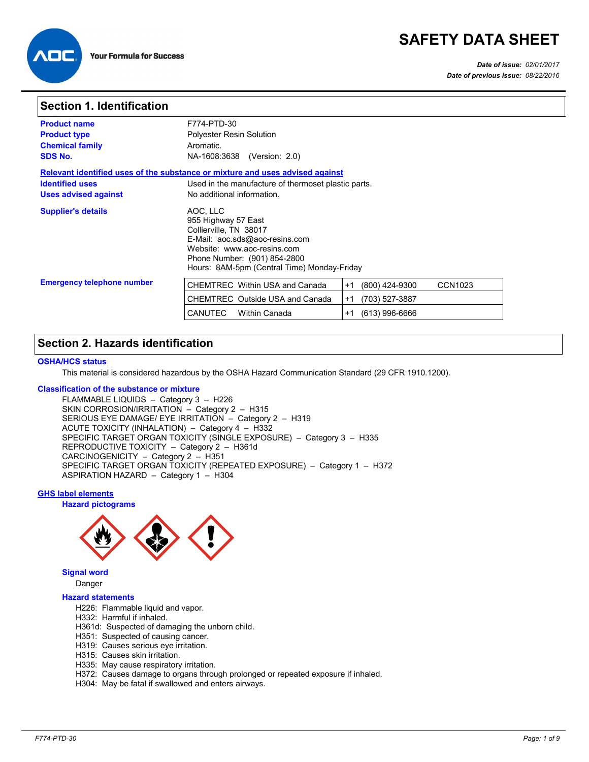# **SAFETY DATA SHEET**



### *Date of issue: 02/01/2017 Date of previous issue: 08/22/2016*

## **Section 1. Identification**

| <b>Product name</b><br><b>Product type</b><br><b>Chemical family</b><br><b>SDS No.</b> | F774-PTD-30<br><b>Polyester Resin Solution</b><br>Aromatic.<br>NA-1608:3638 (Version: 2.0)                                                                                                                |
|----------------------------------------------------------------------------------------|-----------------------------------------------------------------------------------------------------------------------------------------------------------------------------------------------------------|
| <b>Identified uses</b><br><b>Uses advised against</b>                                  | Relevant identified uses of the substance or mixture and uses advised against<br>Used in the manufacture of thermoset plastic parts.<br>No additional information.                                        |
| <b>Supplier's details</b>                                                              | AOC, LLC<br>955 Highway 57 East<br>Collierville, TN 38017<br>E-Mail: aoc.sds@aoc-resins.com<br>Website: www.aoc-resins.com<br>Phone Number: (901) 854-2800<br>Hours: 8AM-5pm (Central Time) Monday-Friday |
| <b>Emergency telephone number</b>                                                      | CHEMTREC Within USA and Canada<br>(800) 424-9300<br>CCN1023<br>$+1$<br>CHEMTREC Outside USA and Canada<br>(703) 527-3887<br>$+1$                                                                          |
|                                                                                        | $(613)$ 996-6666<br><b>CANUTEC</b><br><b>Within Canada</b><br>$+1$                                                                                                                                        |

## **Section 2. Hazards identification**

## **OSHA/HCS status**

This material is considered hazardous by the OSHA Hazard Communication Standard (29 CFR 1910.1200).

#### **Classification of the substance or mixture**

FLAMMABLE LIQUIDS – Category 3 – H226 SKIN CORROSION/IRRITATION – Category 2 – H315 SERIOUS EYE DAMAGE/ EYE IRRITATION – Category 2 – H319 ACUTE TOXICITY (INHALATION) – Category 4 – H332 SPECIFIC TARGET ORGAN TOXICITY (SINGLE EXPOSURE) – Category 3 – H335 REPRODUCTIVE TOXICITY – Category 2 – H361d CARCINOGENICITY – Category 2 – H351 SPECIFIC TARGET ORGAN TOXICITY (REPEATED EXPOSURE) – Category 1 – H372 ASPIRATION HAZARD – Category 1 – H304

## **GHS label elements**

### **Hazard pictograms**



#### **Signal word** Danger

## **Hazard statements**

- H226: Flammable liquid and vapor.
- H332: Harmful if inhaled.
- H361d: Suspected of damaging the unborn child.
- H351: Suspected of causing cancer.
- H319: Causes serious eye irritation.
- H315: Causes skin irritation.
- H335: May cause respiratory irritation.
- H372: Causes damage to organs through prolonged or repeated exposure if inhaled.
- H304: May be fatal if swallowed and enters airways.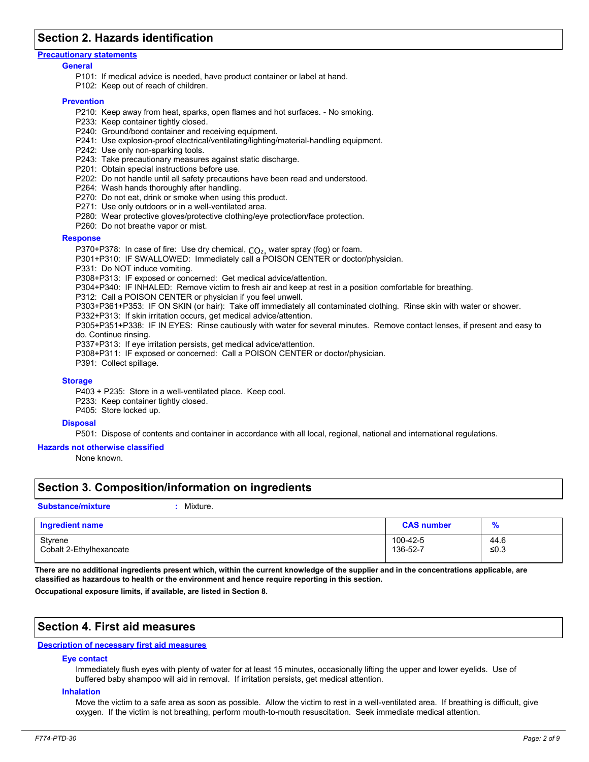## **Section 2. Hazards identification**

#### **Precautionary statements**

#### **General**

- P101: If medical advice is needed, have product container or label at hand.
- P102: Keep out of reach of children.

#### **Prevention**

- P210: Keep away from heat, sparks, open flames and hot surfaces. No smoking.
- P233: Keep container tightly closed.
- P240: Ground/bond container and receiving equipment.
- P241: Use explosion-proof electrical/ventilating/lighting/material-handling equipment.
- P242: Use only non-sparking tools.
- P243: Take precautionary measures against static discharge.
- P201: Obtain special instructions before use.
- P202: Do not handle until all safety precautions have been read and understood.
- P264: Wash hands thoroughly after handling.
- P270: Do not eat, drink or smoke when using this product.
- P271: Use only outdoors or in a well-ventilated area.
- P280: Wear protective gloves/protective clothing/eye protection/face protection.
- P260: Do not breathe vapor or mist.

#### **Response**

- P370+P378: In case of fire: Use dry chemical, CO<sub>2</sub>, water spray (fog) or foam.
- P301+P310: IF SWALLOWED: Immediately call a POISON CENTER or doctor/physician.
- P331: Do NOT induce vomiting.

P308+P313: IF exposed or concerned: Get medical advice/attention.

P304+P340: IF INHALED: Remove victim to fresh air and keep at rest in a position comfortable for breathing.

- P312: Call a POISON CENTER or physician if you feel unwell.
- P303+P361+P353: IF ON SKIN (or hair): Take off immediately all contaminated clothing. Rinse skin with water or shower.
- P332+P313: If skin irritation occurs, get medical advice/attention.
- P305+P351+P338: IF IN EYES: Rinse cautiously with water for several minutes. Remove contact lenses, if present and easy to do. Continue rinsing.

P337+P313: If eye irritation persists, get medical advice/attention.

- P308+P311: IF exposed or concerned: Call a POISON CENTER or doctor/physician.
- P391: Collect spillage.

#### **Storage**

P403 + P235: Store in a well-ventilated place. Keep cool.

- P233: Keep container tightly closed.
- P405: Store locked up.

#### **Disposal**

P501: Dispose of contents and container in accordance with all local, regional, national and international regulations.

#### **Hazards not otherwise classified**

None known.

## **Section 3. Composition/information on ingredients**

#### **Substance/mixture :**

#### Mixture.

| <b>Ingredient name</b>  | <b>CAS number</b> | $\mathbf{a}$<br>$\sqrt{0}$ |
|-------------------------|-------------------|----------------------------|
| Styrene                 | 100-42-5          | 44.6                       |
| Cobalt 2-Ethylhexanoate | 136-52-7          | ≤ $0.3$                    |

**There are no additional ingredients present which, within the current knowledge of the supplier and in the concentrations applicable, are classified as hazardous to health or the environment and hence require reporting in this section.**

**Occupational exposure limits, if available, are listed in Section 8.**

## **Section 4. First aid measures**

### **Description of necessary first aid measures**

### **Eye contact**

Immediately flush eyes with plenty of water for at least 15 minutes, occasionally lifting the upper and lower eyelids. Use of buffered baby shampoo will aid in removal. If irritation persists, get medical attention.

#### **Inhalation**

Move the victim to a safe area as soon as possible. Allow the victim to rest in a well-ventilated area. If breathing is difficult, give oxygen. If the victim is not breathing, perform mouth-to-mouth resuscitation. Seek immediate medical attention.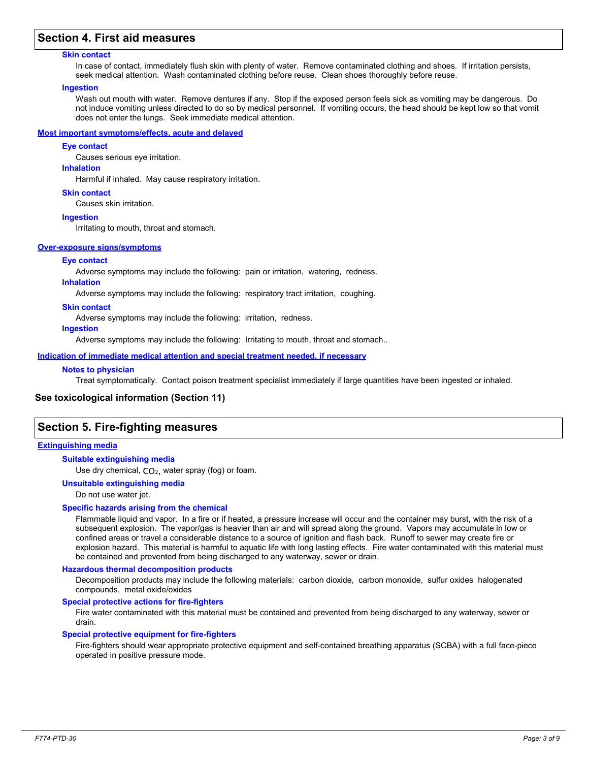## **Section 4. First aid measures**

### **Skin contact**

In case of contact, immediately flush skin with plenty of water. Remove contaminated clothing and shoes. If irritation persists, seek medical attention. Wash contaminated clothing before reuse. Clean shoes thoroughly before reuse.

#### **Ingestion**

Wash out mouth with water. Remove dentures if any. Stop if the exposed person feels sick as vomiting may be dangerous. Do not induce vomiting unless directed to do so by medical personnel. If vomiting occurs, the head should be kept low so that vomit does not enter the lungs. Seek immediate medical attention.

### **Most important symptoms/effects, acute and delayed**

#### **Eye contact**

Causes serious eye irritation.

### **Inhalation**

Harmful if inhaled. May cause respiratory irritation.

#### **Skin contact**

Causes skin irritation.

#### **Ingestion**

Irritating to mouth, throat and stomach.

#### **Over-exposure signs/symptoms**

#### **Eye contact**

Adverse symptoms may include the following: pain or irritation, watering, redness.

### **Inhalation**

Adverse symptoms may include the following: respiratory tract irritation, coughing.

#### **Skin contact**

Adverse symptoms may include the following: irritation, redness.

#### **Ingestion**

Adverse symptoms may include the following: Irritating to mouth, throat and stomach..

**Indication of immediate medical attention and special treatment needed, if necessary**

### **Notes to physician**

Treat symptomatically. Contact poison treatment specialist immediately if large quantities have been ingested or inhaled.

### **See toxicological information (Section 11)**

## **Section 5. Fire-fighting measures**

### **Extinguishing media**

#### **Suitable extinguishing media**

Use dry chemical,  $CO<sub>2</sub>$ , water spray (fog) or foam.

#### **Unsuitable extinguishing media**

Do not use water jet.

#### **Specific hazards arising from the chemical**

Flammable liquid and vapor. In a fire or if heated, a pressure increase will occur and the container may burst, with the risk of a subsequent explosion. The vapor/gas is heavier than air and will spread along the ground. Vapors may accumulate in low or confined areas or travel a considerable distance to a source of ignition and flash back. Runoff to sewer may create fire or explosion hazard. This material is harmful to aquatic life with long lasting effects. Fire water contaminated with this material must be contained and prevented from being discharged to any waterway, sewer or drain.

#### **Hazardous thermal decomposition products**

Decomposition products may include the following materials: carbon dioxide, carbon monoxide, sulfur oxides halogenated compounds, metal oxide/oxides

### **Special protective actions for fire-fighters**

Fire water contaminated with this material must be contained and prevented from being discharged to any waterway, sewer or drain.

#### **Special protective equipment for fire-fighters**

Fire-fighters should wear appropriate protective equipment and self-contained breathing apparatus (SCBA) with a full face-piece operated in positive pressure mode.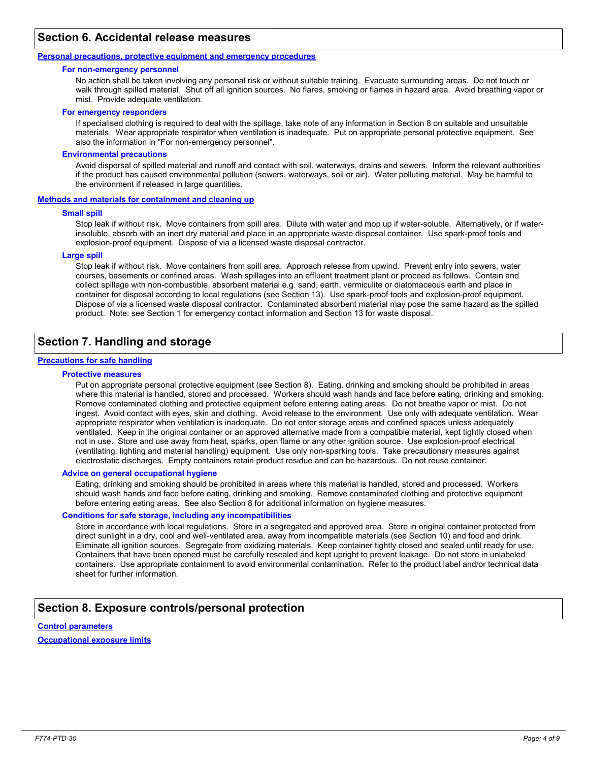## **Section 6. Accidental release measures**

### **Personal precautions, protective equipment and emergency procedures**

#### **For non-emergency personnel**

No action shall be taken involving any personal risk or without suitable training. Evacuate surrounding areas. Do not touch or walk through spilled material. Shut off all ignition sources. No flares, smoking or flames in hazard area. Avoid breathing vapor or mist. Provide adequate ventilation.

#### **For emergency responders**

If specialised clothing is required to deal with the spillage, take note of any information in Section 8 on suitable and unsuitable materials. Wear appropriate respirator when ventilation is inadequate. Put on appropriate personal protective equipment. See also the information in "For non-emergency personnel".

#### **Environmental precautions**

Avoid dispersal of spilled material and runoff and contact with soil, waterways, drains and sewers. Inform the relevant authorities if the product has caused environmental pollution (sewers, waterways, soil or air). Water polluting material. May be harmful to the environment if released in large quantities.

#### **Methods and materials for containment and cleaning up**

#### **Small spill**

Stop leak if without risk. Move containers from spill area. Dilute with water and mop up if water-soluble. Alternatively, or if waterinsoluble, absorb with an inert dry material and place in an appropriate waste disposal container. Use spark-proof tools and explosion-proof equipment. Dispose of via a licensed waste disposal contractor.

#### **Large spill**

Stop leak if without risk. Move containers from spill area. Approach release from upwind. Prevent entry into sewers, water courses, basements or confined areas. Wash spillages into an effluent treatment plant or proceed as follows. Contain and collect spillage with non-combustible, absorbent material e.g. sand, earth, vermiculite or diatomaceous earth and place in container for disposal according to local regulations (see Section 13). Use spark-proof tools and explosion-proof equipment. Dispose of via a licensed waste disposal contractor. Contaminated absorbent material may pose the same hazard as the spilled product. Note: see Section 1 for emergency contact information and Section 13 for waste disposal.

## **Section 7. Handling and storage**

### **Precautions for safe handling**

### **Protective measures**

Put on appropriate personal protective equipment (see Section 8). Eating, drinking and smoking should be prohibited in areas where this material is handled, stored and processed. Workers should wash hands and face before eating, drinking and smoking. Remove contaminated clothing and protective equipment before entering eating areas. Do not breathe vapor or mist. Do not ingest. Avoid contact with eyes, skin and clothing. Avoid release to the environment. Use only with adequate ventilation. Wear appropriate respirator when ventilation is inadequate. Do not enter storage areas and confined spaces unless adequately ventilated. Keep in the original container or an approved alternative made from a compatible material, kept tightly closed when not in use. Store and use away from heat, sparks, open flame or any other ignition source. Use explosion-proof electrical (ventilating, lighting and material handling) equipment. Use only non-sparking tools. Take precautionary measures against electrostatic discharges. Empty containers retain product residue and can be hazardous. Do not reuse container.

#### **Advice on general occupational hygiene**

Eating, drinking and smoking should be prohibited in areas where this material is handled, stored and processed. Workers should wash hands and face before eating, drinking and smoking. Remove contaminated clothing and protective equipment before entering eating areas. See also Section 8 for additional information on hygiene measures.

#### **Conditions for safe storage, including any incompatibilities**

Store in accordance with local regulations. Store in a segregated and approved area. Store in original container protected from direct sunlight in a dry, cool and well-ventilated area, away from incompatible materials (see Section 10) and food and drink. Eliminate all ignition sources. Segregate from oxidizing materials. Keep container tightly closed and sealed until ready for use. Containers that have been opened must be carefully resealed and kept upright to prevent leakage. Do not store in unlabeled containers. Use appropriate containment to avoid environmental contamination. Refer to the product label and/or technical data sheet for further information.

## **Section 8. Exposure controls/personal protection**

#### **Control parameters**

**Occupational exposure limits**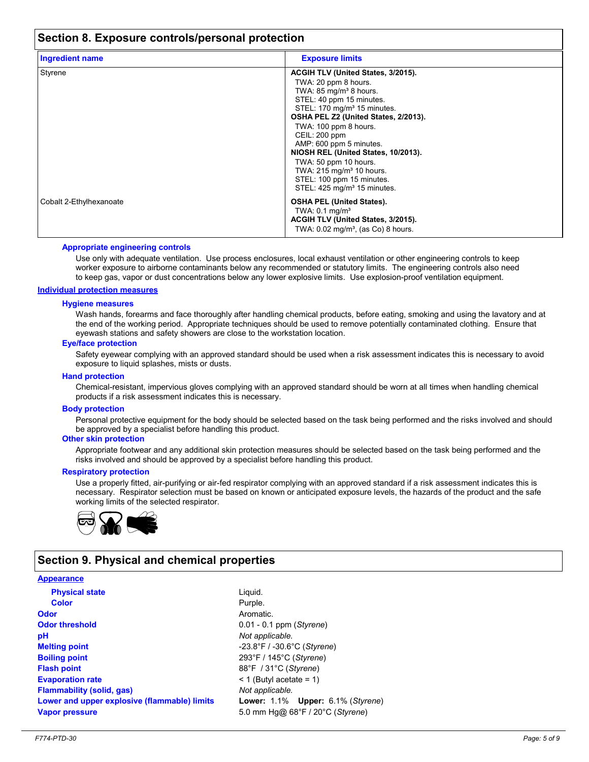## **Section 8. Exposure controls/personal protection**

| <b>Ingredient name</b>  | <b>Exposure limits</b>                                                                                                                                                                                                                                                                                                                                                                                                                                                      |  |
|-------------------------|-----------------------------------------------------------------------------------------------------------------------------------------------------------------------------------------------------------------------------------------------------------------------------------------------------------------------------------------------------------------------------------------------------------------------------------------------------------------------------|--|
| Styrene                 | ACGIH TLV (United States, 3/2015).<br>TWA: 20 ppm 8 hours.<br>TWA: 85 mg/m <sup>3</sup> 8 hours.<br>STEL: 40 ppm 15 minutes.<br>STEL: 170 mg/m <sup>3</sup> 15 minutes.<br>OSHA PEL Z2 (United States, 2/2013).<br>TWA: 100 ppm 8 hours.<br><b>CEIL: 200 ppm</b><br>AMP: 600 ppm 5 minutes.<br>NIOSH REL (United States, 10/2013).<br>TWA: 50 ppm 10 hours.<br>TWA: 215 mg/m <sup>3</sup> 10 hours.<br>STEL: 100 ppm 15 minutes.<br>STEL: 425 mg/m <sup>3</sup> 15 minutes. |  |
| Cobalt 2-Ethylhexanoate | <b>OSHA PEL (United States).</b><br>TWA: $0.1$ mg/m <sup>3</sup><br>ACGIH TLV (United States, 3/2015).<br>TWA: $0.02 \text{ mg/m}^3$ , (as Co) 8 hours.                                                                                                                                                                                                                                                                                                                     |  |

#### **Appropriate engineering controls**

Use only with adequate ventilation. Use process enclosures, local exhaust ventilation or other engineering controls to keep worker exposure to airborne contaminants below any recommended or statutory limits. The engineering controls also need to keep gas, vapor or dust concentrations below any lower explosive limits. Use explosion-proof ventilation equipment.

### **Individual protection measures**

#### **Hygiene measures**

Wash hands, forearms and face thoroughly after handling chemical products, before eating, smoking and using the lavatory and at the end of the working period. Appropriate techniques should be used to remove potentially contaminated clothing. Ensure that eyewash stations and safety showers are close to the workstation location.

#### **Eye/face protection**

Safety eyewear complying with an approved standard should be used when a risk assessment indicates this is necessary to avoid exposure to liquid splashes, mists or dusts.

#### **Hand protection**

Chemical-resistant, impervious gloves complying with an approved standard should be worn at all times when handling chemical products if a risk assessment indicates this is necessary.

#### **Body protection**

Personal protective equipment for the body should be selected based on the task being performed and the risks involved and should be approved by a specialist before handling this product.

## **Other skin protection**

Appropriate footwear and any additional skin protection measures should be selected based on the task being performed and the risks involved and should be approved by a specialist before handling this product.

#### **Respiratory protection**

Use a properly fitted, air-purifying or air-fed respirator complying with an approved standard if a risk assessment indicates this is necessary. Respirator selection must be based on known or anticipated exposure levels, the hazards of the product and the safe working limits of the selected respirator.



## **Section 9. Physical and chemical properties**

## **Physical state Melting point Vapor pressure Odor** Aromatic. **pH Color** Purple. **Evaporation rate**  $\leq 1$  (Butyl acetate = 1) **Flash point** 88°F / 31°C (*Styrene*) **Odor threshold** 0.01 - 0.1 ppm (*Styrene*) **Appearance Boiling point** 293°F / 145°C (*Styrene*) **Flammability (solid, gas)** *Not applicable.* **Lower and upper explosive (flammable) limits Lower:** 1.1% **Upper:** 6.1% (*Styrene*)

Liquid. -23.8°F / -30.6°C (*Styrene*) 5.0 mm Hg@ 68°F / 20°C (*Styrene*) *Not applicable.*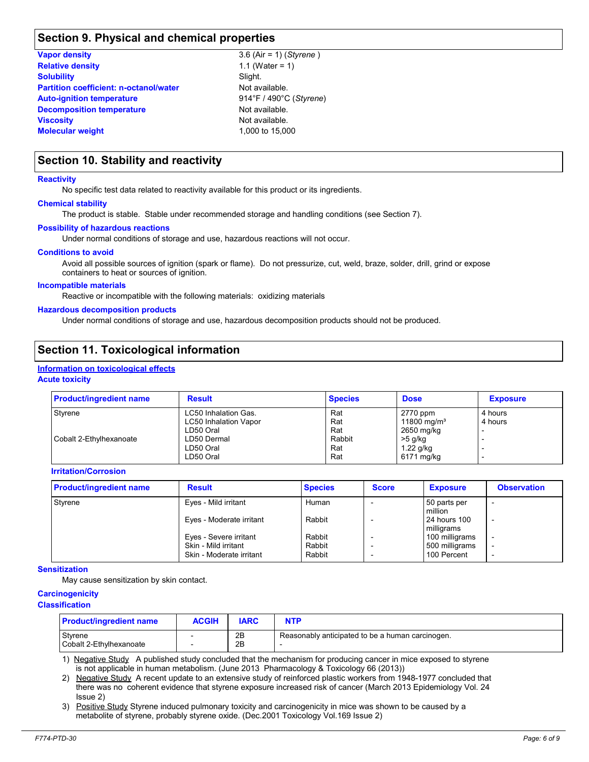## **Section 9. Physical and chemical properties**

| <b>Vapor density</b>                          |  |
|-----------------------------------------------|--|
| <b>Relative density</b>                       |  |
| <b>Solubility</b>                             |  |
| <b>Partition coefficient: n-octanol/water</b> |  |
| <b>Auto-ignition temperature</b>              |  |
| <b>Decomposition temperature</b>              |  |
| <b>Viscosity</b>                              |  |
| <b>Molecular weight</b>                       |  |

1.1 (Water = 1) 3.6 (Air = 1) (*Styrene* ) Slight. **Auto-ignition temperature** 914°F / 490°C (*Styrene*) Not available. **Not available. Molecular weight** 1,000 to 15,000 **Not available.** 

## **Section 10. Stability and reactivity**

#### **Reactivity**

No specific test data related to reactivity available for this product or its ingredients.

### **Chemical stability**

The product is stable. Stable under recommended storage and handling conditions (see Section 7).

### **Possibility of hazardous reactions**

Under normal conditions of storage and use, hazardous reactions will not occur.

#### **Conditions to avoid**

Avoid all possible sources of ignition (spark or flame). Do not pressurize, cut, weld, braze, solder, drill, grind or expose containers to heat or sources of ignition.

#### **Incompatible materials**

Reactive or incompatible with the following materials: oxidizing materials

#### **Hazardous decomposition products**

Under normal conditions of storage and use, hazardous decomposition products should not be produced.

## **Section 11. Toxicological information**

#### **Acute toxicity Information on toxicological effects**

| <b>Product/ingredient name</b> | <b>Result</b>                | <b>Species</b> | <b>Dose</b>             | <b>Exposure</b> |
|--------------------------------|------------------------------|----------------|-------------------------|-----------------|
| Styrene                        | LC50 Inhalation Gas.         | Rat            | 2770 ppm                | 4 hours         |
|                                | <b>LC50 Inhalation Vapor</b> | Rat            | 11800 mg/m <sup>3</sup> | 4 hours         |
|                                | LD50 Oral                    | Rat            | 2650 mg/kg              |                 |
| Cobalt 2-Ethylhexanoate        | LD50 Dermal                  | Rabbit         | >5 g/kg                 |                 |
|                                | LD50 Oral                    | Rat            | $1.22$ g/kg             |                 |
|                                | LD50 Oral                    | Rat            | 6171 mg/kg              |                 |

### **Irritation/Corrosion**

| <b>Product/ingredient name</b> | <b>Result</b>                                    | <b>Species</b>   | <b>Score</b> | <b>Exposure</b>               | <b>Observation</b>                                   |
|--------------------------------|--------------------------------------------------|------------------|--------------|-------------------------------|------------------------------------------------------|
| Styrene                        | Eyes - Mild irritant                             | Human            |              | 50 parts per<br>million       | $\overline{\phantom{0}}$                             |
|                                | Eyes - Moderate irritant                         | Rabbit           |              | 24 hours 100<br>milligrams    | $\overline{\phantom{0}}$                             |
|                                | Eyes - Severe irritant                           | Rabbit           |              | 100 milligrams                | $\overline{\phantom{0}}$                             |
|                                | Skin - Mild irritant<br>Skin - Moderate irritant | Rabbit<br>Rabbit |              | 500 milligrams<br>100 Percent | $\overline{\phantom{0}}$<br>$\overline{\phantom{0}}$ |

#### **Sensitization**

May cause sensitization by skin contact.

#### **Carcinogenicity**

#### **Classification**

| <b>Product/ingredient name</b>       | ACGIH | <b>IARC</b> | NTP                                              |
|--------------------------------------|-------|-------------|--------------------------------------------------|
| Styrene<br>l Cobalt 2-Ethvlhexanoate |       | 2B<br>2B    | Reasonably anticipated to be a human carcinogen. |

1) Negative Study A published study concluded that the mechanism for producing cancer in mice exposed to styrene is not applicable in human metabolism. (June 2013 Pharmacology & Toxicology 66 (2013))

2) Negative Study A recent update to an extensive study of reinforced plastic workers from 1948-1977 concluded that there was no coherent evidence that styrene exposure increased risk of cancer (March 2013 Epidemiology Vol. 24 Issue 2)

3) Positive Study Styrene induced pulmonary toxicity and carcinogenicity in mice was shown to be caused by a metabolite of styrene, probably styrene oxide. (Dec.2001 Toxicology Vol.169 Issue 2)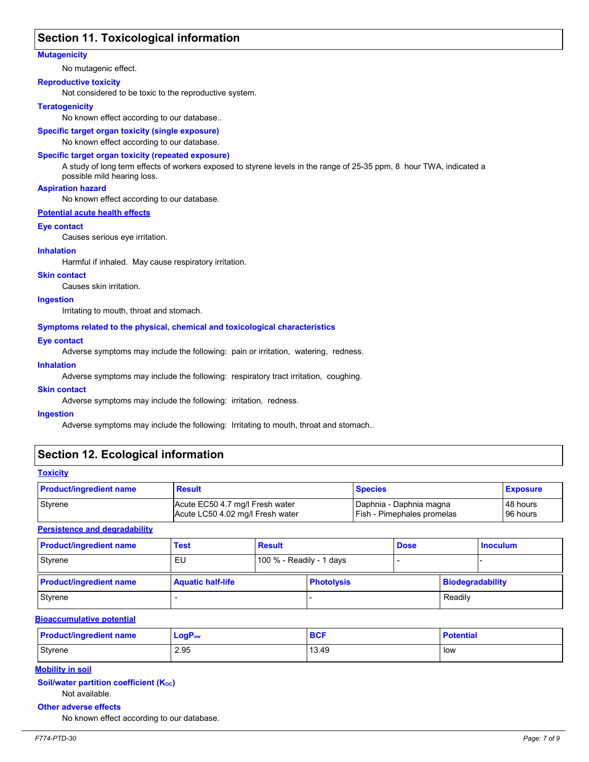## **Section 11. Toxicological information**

#### **Mutagenicity**

No mutagenic effect.

#### **Reproductive toxicity**

Not considered to be toxic to the reproductive system.

#### **Teratogenicity**

No known effect according to our database..

### **Specific target organ toxicity (single exposure)**

No known effect according to our database.

#### **Specific target organ toxicity (repeated exposure)**

A study of long term effects of workers exposed to styrene levels in the range of 25-35 ppm, 8 hour TWA, indicated a possible mild hearing loss.

#### **Aspiration hazard**

No known effect according to our database.

#### **Potential acute health effects**

#### **Eye contact**

Causes serious eye irritation.

#### **Inhalation**

Harmful if inhaled. May cause respiratory irritation.

#### **Skin contact**

Causes skin irritation.

#### **Ingestion**

Irritating to mouth, throat and stomach.

#### **Symptoms related to the physical, chemical and toxicological characteristics**

#### **Eye contact**

Adverse symptoms may include the following: pain or irritation, watering, redness.

#### **Inhalation**

Adverse symptoms may include the following: respiratory tract irritation, coughing.

#### **Skin contact**

Adverse symptoms may include the following: irritation, redness.

#### **Ingestion**

Adverse symptoms may include the following: Irritating to mouth, throat and stomach..

## **Section 12. Ecological information**

#### **Toxicity**

| <b>Product/ingredient name</b> | <b>Result</b>                    | <b>Species</b>                    | <b>Exposure</b> |
|--------------------------------|----------------------------------|-----------------------------------|-----------------|
| Styrene                        | Acute EC50 4.7 mg/l Fresh water  | Daphnia - Daphnia magna           | l 48 hours      |
|                                | Acute LC50 4.02 mg/l Fresh water | <b>Fish - Pimephales promelas</b> | 96 hours        |

### **Persistence and degradability**

| <b>Product/ingredient name</b> | <b>Test</b>              | <b>Result</b>            |                   | <b>Dose</b> |                         | <b>Inoculum</b> |
|--------------------------------|--------------------------|--------------------------|-------------------|-------------|-------------------------|-----------------|
| Styrene                        | EU                       | 100 % - Readily - 1 days |                   |             |                         |                 |
| <b>Product/ingredient name</b> | <b>Aquatic half-life</b> |                          | <b>Photolysis</b> |             | <b>Biodegradability</b> |                 |
| Styrene                        |                          |                          |                   |             | Readily                 |                 |

#### **Bioaccumulative potential**

| <b>Product/ingredient name</b> | $LogP_{ow}$ | <b>BCF</b> | <b>Potential</b> |
|--------------------------------|-------------|------------|------------------|
| <b>Styrene</b>                 | 2.95        | 13.49      | low              |

## **Mobility in soil**

**Soil/water partition coefficient (Koc)** 

## Not available.

**Other adverse effects**

No known effect according to our database.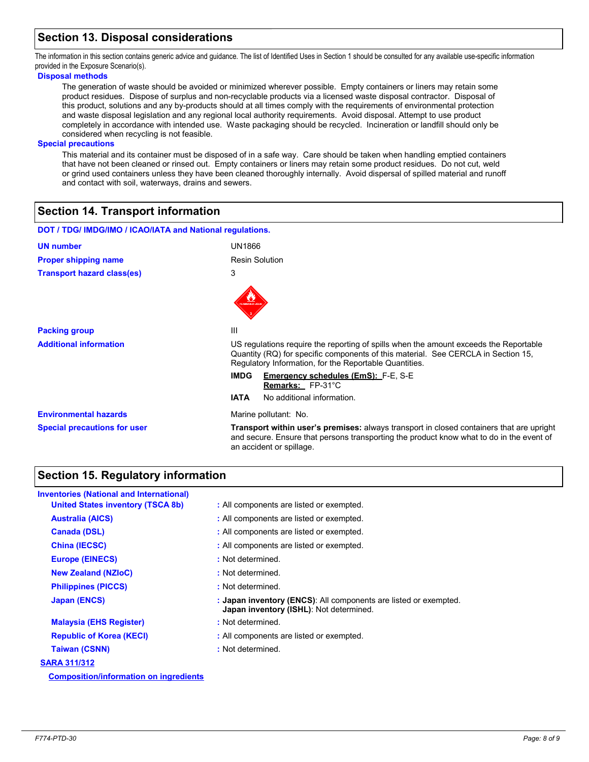## **Section 13. Disposal considerations**

The information in this section contains generic advice and guidance. The list of Identified Uses in Section 1 should be consulted for any available use-specific information provided in the Exposure Scenario(s).

### **Disposal methods**

The generation of waste should be avoided or minimized wherever possible. Empty containers or liners may retain some product residues. Dispose of surplus and non-recyclable products via a licensed waste disposal contractor. Disposal of this product, solutions and any by-products should at all times comply with the requirements of environmental protection and waste disposal legislation and any regional local authority requirements. Avoid disposal. Attempt to use product completely in accordance with intended use. Waste packaging should be recycled. Incineration or landfill should only be considered when recycling is not feasible.

#### **Special precautions**

This material and its container must be disposed of in a safe way. Care should be taken when handling emptied containers that have not been cleaned or rinsed out. Empty containers or liners may retain some product residues. Do not cut, weld or grind used containers unless they have been cleaned thoroughly internally. Avoid dispersal of spilled material and runoff and contact with soil, waterways, drains and sewers.

## **Section 14. Transport information**

| DOT / TDG/ IMDG/IMO / ICAO/IATA and National regulations. |                                                                                                                                                                                                                                      |
|-----------------------------------------------------------|--------------------------------------------------------------------------------------------------------------------------------------------------------------------------------------------------------------------------------------|
| <b>UN number</b>                                          | <b>UN1866</b>                                                                                                                                                                                                                        |
| <b>Proper shipping name</b>                               | <b>Resin Solution</b>                                                                                                                                                                                                                |
| <b>Transport hazard class(es)</b>                         | 3                                                                                                                                                                                                                                    |
|                                                           | LAWRASLE LIQU                                                                                                                                                                                                                        |
| <b>Packing group</b>                                      | Ш                                                                                                                                                                                                                                    |
| <b>Additional information</b>                             | US regulations require the reporting of spills when the amount exceeds the Reportable<br>Quantity (RQ) for specific components of this material. See CERCLA in Section 15,<br>Regulatory Information, for the Reportable Quantities. |
|                                                           | <b>IMDG</b><br><b>Emergency schedules (EmS):</b> F-E, S-E<br>Remarks: FP-31°C                                                                                                                                                        |
|                                                           | <b>IATA</b><br>No additional information.                                                                                                                                                                                            |
| <b>Environmental hazards</b>                              | Marine pollutant. No.                                                                                                                                                                                                                |
| <b>Special precautions for user</b>                       | <b>Transport within user's premises:</b> always transport in closed containers that are upright<br>and secure. Ensure that persons transporting the product know what to do in the event of<br>an accident or spillage.              |

## **Section 15. Regulatory information**

| <b>Inventories (National and International)</b> |                                                                                                             |
|-------------------------------------------------|-------------------------------------------------------------------------------------------------------------|
| <b>United States inventory (TSCA 8b)</b>        | : All components are listed or exempted.                                                                    |
| <b>Australia (AICS)</b>                         | : All components are listed or exempted.                                                                    |
| <b>Canada (DSL)</b>                             | : All components are listed or exempted.                                                                    |
| <b>China (IECSC)</b>                            | : All components are listed or exempted.                                                                    |
| <b>Europe (EINECS)</b>                          | : Not determined.                                                                                           |
| <b>New Zealand (NZIoC)</b>                      | : Not determined.                                                                                           |
| <b>Philippines (PICCS)</b>                      | : Not determined.                                                                                           |
| <b>Japan (ENCS)</b>                             | : Japan inventory (ENCS): All components are listed or exempted.<br>Japan inventory (ISHL): Not determined. |
| <b>Malaysia (EHS Register)</b>                  | : Not determined.                                                                                           |
| <b>Republic of Korea (KECI)</b>                 | : All components are listed or exempted.                                                                    |
| <b>Taiwan (CSNN)</b>                            | : Not determined.                                                                                           |
| <b>SARA 311/312</b>                             |                                                                                                             |
| <b>Composition/information on ingredients</b>   |                                                                                                             |